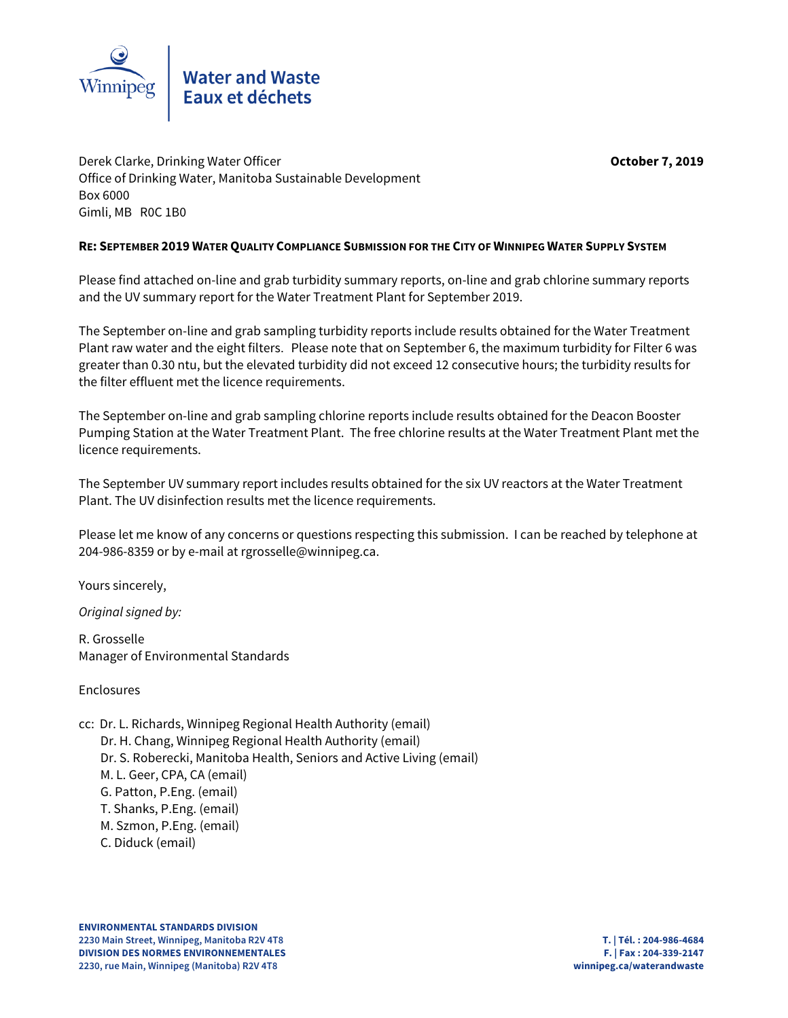

Derek Clarke, Drinking Water Officer **October 7, 2019** Office of Drinking Water, Manitoba Sustainable Development Box 6000 Gimli, MB R0C 1B0

## **RE: SEPTEMBER 2019 WATER QUALITY COMPLIANCE SUBMISSION FOR THE CITY OF WINNIPEG WATER SUPPLY SYSTEM**

Please find attached on-line and grab turbidity summary reports, on-line and grab chlorine summary reports and the UV summary report for the Water Treatment Plant for September 2019.

The September on-line and grab sampling turbidity reports include results obtained for the Water Treatment Plant raw water and the eight filters. Please note that on September 6, the maximum turbidity for Filter 6 was greater than 0.30 ntu, but the elevated turbidity did not exceed 12 consecutive hours; the turbidity results for the filter effluent met the licence requirements.

The September on-line and grab sampling chlorine reports include results obtained for the Deacon Booster Pumping Station at the Water Treatment Plant. The free chlorine results at the Water Treatment Plant met the licence requirements.

The September UV summary report includes results obtained for the six UV reactors at the Water Treatment Plant. The UV disinfection results met the licence requirements.

Please let me know of any concerns or questions respecting this submission. I can be reached by telephone at 204-986-8359 or by e-mail at rgrosselle@winnipeg.ca.

Yours sincerely,

Original signed by:

R. Grosselle Manager of Environmental Standards

Enclosures

- cc: Dr. L. Richards, Winnipeg Regional Health Authority (email)
	- Dr. H. Chang, Winnipeg Regional Health Authority (email)
	- Dr. S. Roberecki, Manitoba Health, Seniors and Active Living (email)
	- M. L. Geer, CPA, CA (email)
	- G. Patton, P.Eng. (email)
	- T. Shanks, P.Eng. (email)
	- M. Szmon, P.Eng. (email)
	- C. Diduck (email)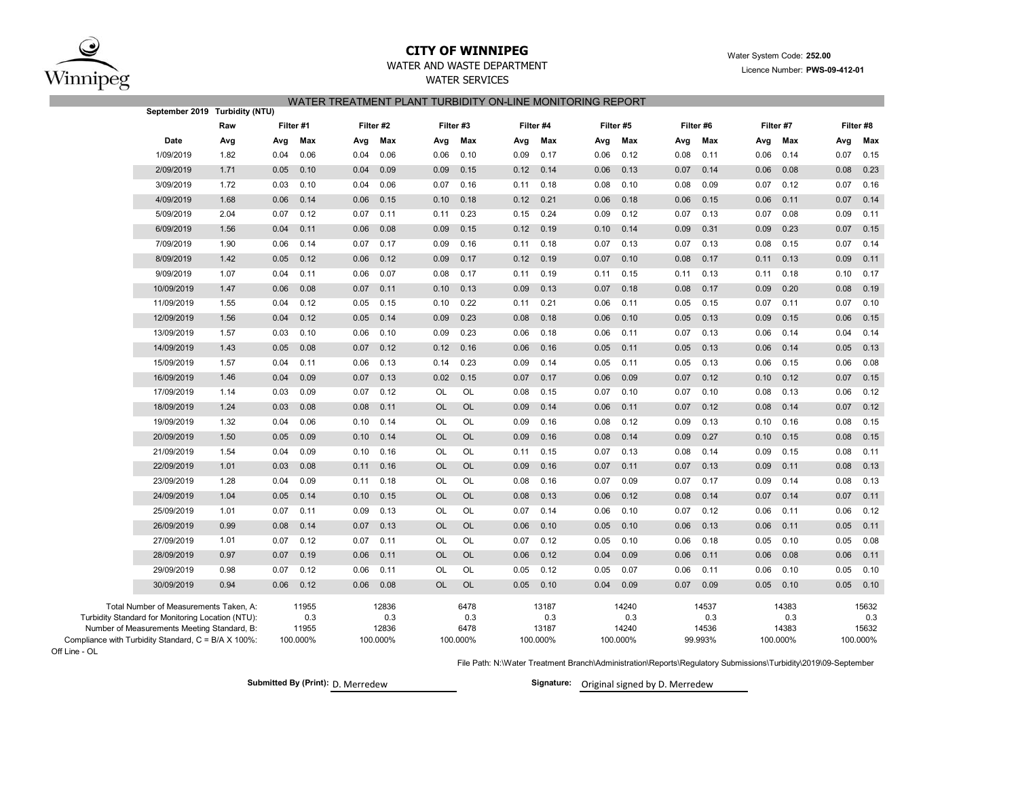

Off Line - OL

## **CITY OF WINNIPEG**WATER AND WASTE DEPARTMENT

# WATER SERVICES WATER TREATMENT PLANT TURBIDITY ON-LINE MONITORING REPORT

|                                                                                                  | September 2019 Turbidity (NTU) |           |              |      |              |           |             |      |              |      |              |      |              |      |              |      |              |
|--------------------------------------------------------------------------------------------------|--------------------------------|-----------|--------------|------|--------------|-----------|-------------|------|--------------|------|--------------|------|--------------|------|--------------|------|--------------|
|                                                                                                  | Raw                            | Filter #1 |              |      | Filter #2    | Filter #3 |             |      | Filter #4    |      | Filter #5    |      | Filter #6    |      | Filter #7    |      | Filter #8    |
| Date                                                                                             | Avg                            | Avg       | Max          | Avg  | Max          | Avg       | Max         | Avg  | Max          | Avg  | Max          | Avg  | Max          | Avg  | Max          | Avg  | Max          |
| 1/09/2019                                                                                        | 1.82                           | 0.04      | 0.06         | 0.04 | 0.06         | 0.06      | 0.10        | 0.09 | 0.17         | 0.06 | 0.12         | 0.08 | 0.11         | 0.06 | 0.14         | 0.07 | 0.15         |
| 2/09/2019                                                                                        | 1.71                           | 0.05      | 0.10         | 0.04 | 0.09         | 0.09      | 0.15        | 0.12 | 0.14         | 0.06 | 0.13         | 0.07 | 0.14         | 0.06 | 0.08         | 0.08 | 0.23         |
| 3/09/2019                                                                                        | 1.72                           | 0.03      | 0.10         | 0.04 | 0.06         | 0.07      | 0.16        | 0.11 | 0.18         | 0.08 | 0.10         | 0.08 | 0.09         | 0.07 | 0.12         | 0.07 | 0.16         |
| 4/09/2019                                                                                        | 1.68                           | 0.06      | 0.14         | 0.06 | 0.15         | 0.10      | 0.18        | 0.12 | 0.21         | 0.06 | 0.18         | 0.06 | 0.15         | 0.06 | 0.11         | 0.07 | 0.14         |
| 5/09/2019                                                                                        | 2.04                           | 0.07      | 0.12         | 0.07 | 0.11         | 0.11      | 0.23        | 0.15 | 0.24         | 0.09 | 0.12         | 0.07 | 0.13         | 0.07 | 0.08         | 0.09 | 0.11         |
| 6/09/2019                                                                                        | 1.56                           | 0.04      | 0.11         | 0.06 | 0.08         | 0.09      | 0.15        | 0.12 | 0.19         | 0.10 | 0.14         | 0.09 | 0.31         | 0.09 | 0.23         | 0.07 | 0.15         |
| 7/09/2019                                                                                        | 1.90                           | 0.06      | 0.14         | 0.07 | 0.17         | 0.09      | 0.16        | 0.11 | 0.18         | 0.07 | 0.13         | 0.07 | 0.13         | 0.08 | 0.15         | 0.07 | 0.14         |
| 8/09/2019                                                                                        | 1.42                           | 0.05      | 0.12         | 0.06 | 0.12         | 0.09      | 0.17        | 0.12 | 0.19         | 0.07 | 0.10         | 0.08 | 0.17         | 0.11 | 0.13         | 0.09 | 0.11         |
| 9/09/2019                                                                                        | 1.07                           | 0.04      | 0.11         | 0.06 | 0.07         | 0.08      | 0.17        | 0.11 | 0.19         | 0.11 | 0.15         | 0.11 | 0.13         | 0.11 | 0.18         | 0.10 | 0.17         |
| 10/09/2019                                                                                       | 1.47                           | 0.06      | 0.08         | 0.07 | 0.11         | 0.10      | 0.13        | 0.09 | 0.13         | 0.07 | 0.18         | 0.08 | 0.17         | 0.09 | 0.20         | 0.08 | 0.19         |
| 11/09/2019                                                                                       | 1.55                           | 0.04      | 0.12         | 0.05 | 0.15         | 0.10      | 0.22        | 0.11 | 0.21         | 0.06 | 0.11         | 0.05 | 0.15         | 0.07 | 0.11         | 0.07 | 0.10         |
| 12/09/2019                                                                                       | 1.56                           | 0.04      | 0.12         | 0.05 | 0.14         | 0.09      | 0.23        | 0.08 | 0.18         | 0.06 | 0.10         | 0.05 | 0.13         | 0.09 | 0.15         | 0.06 | 0.15         |
| 13/09/2019                                                                                       | 1.57                           | 0.03      | 0.10         | 0.06 | 0.10         | 0.09      | 0.23        | 0.06 | 0.18         | 0.06 | 0.11         | 0.07 | 0.13         | 0.06 | 0.14         | 0.04 | 0.14         |
| 14/09/2019                                                                                       | 1.43                           | 0.05      | 0.08         | 0.07 | 0.12         | 0.12      | 0.16        | 0.06 | 0.16         | 0.05 | 0.11         | 0.05 | 0.13         | 0.06 | 0.14         | 0.05 | 0.13         |
| 15/09/2019                                                                                       | 1.57                           | 0.04      | 0.11         | 0.06 | 0.13         | 0.14      | 0.23        | 0.09 | 0.14         | 0.05 | 0.11         | 0.05 | 0.13         | 0.06 | 0.15         | 0.06 | 0.08         |
| 16/09/2019                                                                                       | 1.46                           | 0.04      | 0.09         | 0.07 | 0.13         | 0.02      | 0.15        | 0.07 | 0.17         | 0.06 | 0.09         | 0.07 | 0.12         | 0.10 | 0.12         | 0.07 | 0.15         |
| 17/09/2019                                                                                       | 1.14                           | 0.03      | 0.09         | 0.07 | 0.12         | OL        | OL          | 0.08 | 0.15         | 0.07 | 0.10         | 0.07 | 0.10         | 0.08 | 0.13         | 0.06 | 0.12         |
| 18/09/2019                                                                                       | 1.24                           | 0.03      | 0.08         | 0.08 | 0.11         | <b>OL</b> | <b>OL</b>   | 0.09 | 0.14         | 0.06 | 0.11         | 0.07 | 0.12         | 0.08 | 0.14         | 0.07 | 0.12         |
| 19/09/2019                                                                                       | 1.32                           | 0.04      | 0.06         | 0.10 | 0.14         | OL        | OL          | 0.09 | 0.16         | 0.08 | 0.12         | 0.09 | 0.13         | 0.10 | 0.16         | 0.08 | 0.15         |
| 20/09/2019                                                                                       | 1.50                           | 0.05      | 0.09         | 0.10 | 0.14         | <b>OL</b> | <b>OL</b>   | 0.09 | 0.16         | 0.08 | 0.14         | 0.09 | 0.27         | 0.10 | 0.15         | 0.08 | 0.15         |
| 21/09/2019                                                                                       | 1.54                           | 0.04      | 0.09         | 0.10 | 0.16         | OL        | OL          | 0.11 | 0.15         | 0.07 | 0.13         | 0.08 | 0.14         | 0.09 | 0.15         | 0.08 | 0.11         |
| 22/09/2019                                                                                       | 1.01                           | 0.03      | 0.08         | 0.11 | 0.16         | <b>OL</b> | <b>OL</b>   | 0.09 | 0.16         | 0.07 | 0.11         | 0.07 | 0.13         | 0.09 | 0.11         | 0.08 | 0.13         |
| 23/09/2019                                                                                       | 1.28                           | 0.04      | 0.09         | 0.11 | 0.18         | <b>OL</b> | <b>OL</b>   | 0.08 | 0.16         | 0.07 | 0.09         | 0.07 | 0.17         | 0.09 | 0.14         | 0.08 | 0.13         |
| 24/09/2019                                                                                       | 1.04                           | 0.05      | 0.14         | 0.10 | 0.15         | <b>OL</b> | <b>OL</b>   | 0.08 | 0.13         | 0.06 | 0.12         | 0.08 | 0.14         | 0.07 | 0.14         | 0.07 | 0.11         |
| 25/09/2019                                                                                       | 1.01                           | 0.07      | 0.11         | 0.09 | 0.13         | OL        | <b>OL</b>   | 0.07 | 0.14         | 0.06 | 0.10         | 0.07 | 0.12         | 0.06 | 0.11         | 0.06 | 0.12         |
| 26/09/2019                                                                                       | 0.99                           | 0.08      | 0.14         | 0.07 | 0.13         | <b>OL</b> | <b>OL</b>   | 0.06 | 0.10         | 0.05 | 0.10         | 0.06 | 0.13         | 0.06 | 0.11         | 0.05 | 0.11         |
| 27/09/2019                                                                                       | 1.01                           | 0.07      | 0.12         | 0.07 | 0.11         | OL        | OL          | 0.07 | 0.12         | 0.05 | 0.10         | 0.06 | 0.18         | 0.05 | 0.10         | 0.05 | 0.08         |
| 28/09/2019                                                                                       | 0.97                           | 0.07      | 0.19         | 0.06 | 0.11         | <b>OL</b> | OL          | 0.06 | 0.12         | 0.04 | 0.09         | 0.06 | 0.11         | 0.06 | 0.08         | 0.06 | 0.11         |
| 29/09/2019                                                                                       | 0.98                           | 0.07      | 0.12         | 0.06 | 0.11         | OL        | <b>OL</b>   | 0.05 | 0.12         | 0.05 | 0.07         | 0.06 | 0.11         | 0.06 | 0.10         | 0.05 | 0.10         |
| 30/09/2019                                                                                       | 0.94                           | 0.06      | 0.12         | 0.06 | 0.08         | <b>OL</b> | <b>OL</b>   | 0.05 | 0.10         | 0.04 | 0.09         | 0.07 | 0.09         | 0.05 | 0.10         | 0.05 | 0.10         |
| Total Number of Measurements Taken, A:                                                           |                                |           | 11955        |      | 12836        |           | 6478        |      | 13187        |      | 14240        |      | 14537        |      | 14383        |      | 15632        |
| Turbidity Standard for Monitoring Location (NTU):<br>Number of Measurements Meeting Standard, B: |                                |           | 0.3<br>11955 |      | 0.3<br>12836 |           | 0.3<br>6478 |      | 0.3<br>13187 |      | 0.3<br>14240 |      | 0.3<br>14536 |      | 0.3<br>14383 |      | 0.3<br>15632 |
| Compliance with Turbidity Standard, C = B/A X 100%:                                              |                                |           | 100.000%     |      | 100.000%     |           | 100.000%    |      | 100.000%     |      | 100.000%     |      | 99.993%      |      | 100.000%     |      | 100.000%     |

File Path: N:\Water Treatment Branch\Administration\Reports\Regulatory Submissions\Turbidity\2019\09-September

Submitted By (Print): D. Merredew **Signature:** Original signed by D. Merredew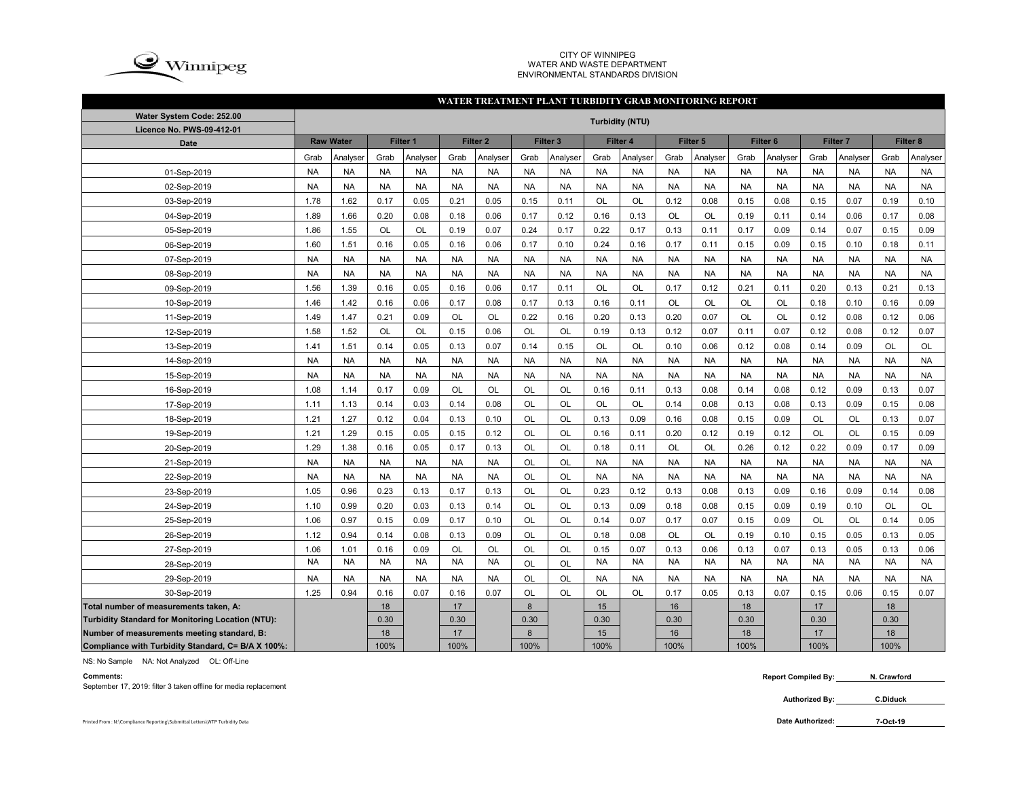

### CITY OF WINNIPEG WATER AND WASTE DEPARTMENTENVIRONMENTAL STANDARDS DIVISION

#### **WATER TREATMENT PLANT TURBIDITY GRAB MONITORING REPORT**

| Water System Code: 252.00                                |           |           |                                     |           |           |                     |           |                     |           | <b>Turbidity (NTU)</b> |           |                     |                     |           |                 |           |           |           |
|----------------------------------------------------------|-----------|-----------|-------------------------------------|-----------|-----------|---------------------|-----------|---------------------|-----------|------------------------|-----------|---------------------|---------------------|-----------|-----------------|-----------|-----------|-----------|
| Licence No. PWS-09-412-01                                |           |           |                                     |           |           |                     |           |                     |           |                        |           |                     |                     |           |                 |           |           |           |
| <b>Date</b>                                              |           |           | <b>Raw Water</b><br><b>Filter 1</b> |           |           | Filter <sub>2</sub> |           | Filter <sub>3</sub> |           | Filter 4               |           | Filter <sub>5</sub> | Filter <sub>6</sub> |           | <b>Filter 7</b> |           | Filter 8  |           |
|                                                          | Grab      | Analyser  | Grab                                | Analyser  | Grab      | Analyser            | Grab      | Analyser            | Grab      | Analyser               | Grab      | Analyser            | Grab                | Analyser  | Grab            | Analyser  | Grab      | Analyser  |
| 01-Sep-2019                                              | <b>NA</b> | <b>NA</b> | <b>NA</b>                           | <b>NA</b> | <b>NA</b> | <b>NA</b>           | <b>NA</b> | <b>NA</b>           | <b>NA</b> | <b>NA</b>              | <b>NA</b> | <b>NA</b>           | <b>NA</b>           | <b>NA</b> | <b>NA</b>       | <b>NA</b> | <b>NA</b> | <b>NA</b> |
| 02-Sep-2019                                              | <b>NA</b> | <b>NA</b> | <b>NA</b>                           | <b>NA</b> | <b>NA</b> | <b>NA</b>           | <b>NA</b> | <b>NA</b>           | <b>NA</b> | <b>NA</b>              | <b>NA</b> | <b>NA</b>           | <b>NA</b>           | <b>NA</b> | <b>NA</b>       | <b>NA</b> | <b>NA</b> | <b>NA</b> |
| 03-Sep-2019                                              | 1.78      | 1.62      | 0.17                                | 0.05      | 0.21      | 0.05                | 0.15      | 0.11                | OL        | OL                     | 0.12      | 0.08                | 0.15                | 0.08      | 0.15            | 0.07      | 0.19      | 0.10      |
| 04-Sep-2019                                              | 1.89      | 1.66      | 0.20                                | 0.08      | 0.18      | 0.06                | 0.17      | 0.12                | 0.16      | 0.13                   | OL        | OL                  | 0.19                | 0.11      | 0.14            | 0.06      | 0.17      | 0.08      |
| 05-Sep-2019                                              | 1.86      | 1.55      | OL                                  | OL        | 0.19      | 0.07                | 0.24      | 0.17                | 0.22      | 0.17                   | 0.13      | 0.11                | 0.17                | 0.09      | 0.14            | 0.07      | 0.15      | 0.09      |
| 06-Sep-2019                                              | 1.60      | 1.51      | 0.16                                | 0.05      | 0.16      | 0.06                | 0.17      | 0.10                | 0.24      | 0.16                   | 0.17      | 0.11                | 0.15                | 0.09      | 0.15            | 0.10      | 0.18      | 0.11      |
| 07-Sep-2019                                              | <b>NA</b> | <b>NA</b> | <b>NA</b>                           | <b>NA</b> | <b>NA</b> | <b>NA</b>           | <b>NA</b> | <b>NA</b>           | <b>NA</b> | <b>NA</b>              | <b>NA</b> | <b>NA</b>           | <b>NA</b>           | <b>NA</b> | <b>NA</b>       | <b>NA</b> | <b>NA</b> | <b>NA</b> |
| 08-Sep-2019                                              | <b>NA</b> | <b>NA</b> | <b>NA</b>                           | <b>NA</b> | <b>NA</b> | <b>NA</b>           | <b>NA</b> | <b>NA</b>           | <b>NA</b> | <b>NA</b>              | <b>NA</b> | <b>NA</b>           | <b>NA</b>           | <b>NA</b> | <b>NA</b>       | <b>NA</b> | <b>NA</b> | <b>NA</b> |
| 09-Sep-2019                                              | 1.56      | 1.39      | 0.16                                | 0.05      | 0.16      | 0.06                | 0.17      | 0.11                | <b>OL</b> | OL                     | 0.17      | 0.12                | 0.21                | 0.11      | 0.20            | 0.13      | 0.21      | 0.13      |
| 10-Sep-2019                                              | 1.46      | 1.42      | 0.16                                | 0.06      | 0.17      | 0.08                | 0.17      | 0.13                | 0.16      | 0.11                   | <b>OL</b> | <b>OL</b>           | <b>OL</b>           | <b>OL</b> | 0.18            | 0.10      | 0.16      | 0.09      |
| 11-Sep-2019                                              | 1.49      | 1.47      | 0.21                                | 0.09      | <b>OL</b> | <b>OL</b>           | 0.22      | 0.16                | 0.20      | 0.13                   | 0.20      | 0.07                | <b>OL</b>           | <b>OL</b> | 0.12            | 0.08      | 0.12      | 0.06      |
| 12-Sep-2019                                              | 1.58      | 1.52      | OL                                  | OL        | 0.15      | 0.06                | OL        | OL                  | 0.19      | 0.13                   | 0.12      | 0.07                | 0.11                | 0.07      | 0.12            | 0.08      | 0.12      | 0.07      |
| 13-Sep-2019                                              | 1.41      | 1.51      | 0.14                                | 0.05      | 0.13      | 0.07                | 0.14      | 0.15                | <b>OL</b> | OL                     | 0.10      | 0.06                | 0.12                | 0.08      | 0.14            | 0.09      | OL        | OL        |
| 14-Sep-2019                                              | <b>NA</b> | <b>NA</b> | <b>NA</b>                           | <b>NA</b> | <b>NA</b> | <b>NA</b>           | <b>NA</b> | <b>NA</b>           | <b>NA</b> | <b>NA</b>              | <b>NA</b> | <b>NA</b>           | <b>NA</b>           | <b>NA</b> | <b>NA</b>       | <b>NA</b> | <b>NA</b> | <b>NA</b> |
| 15-Sep-2019                                              | <b>NA</b> | <b>NA</b> | <b>NA</b>                           | <b>NA</b> | <b>NA</b> | <b>NA</b>           | <b>NA</b> | <b>NA</b>           | <b>NA</b> | <b>NA</b>              | <b>NA</b> | <b>NA</b>           | <b>NA</b>           | <b>NA</b> | <b>NA</b>       | <b>NA</b> | <b>NA</b> | <b>NA</b> |
| 16-Sep-2019                                              | 1.08      | 1.14      | 0.17                                | 0.09      | OL        | OL                  | OL        | OL                  | 0.16      | 0.11                   | 0.13      | 0.08                | 0.14                | 0.08      | 0.12            | 0.09      | 0.13      | 0.07      |
| 17-Sep-2019                                              | 1.11      | 1.13      | 0.14                                | 0.03      | 0.14      | 0.08                | OL        | OL                  | OL        | OL                     | 0.14      | 0.08                | 0.13                | 0.08      | 0.13            | 0.09      | 0.15      | 0.08      |
| 18-Sep-2019                                              | 1.21      | 1.27      | 0.12                                | 0.04      | 0.13      | 0.10                | OL        | OL                  | 0.13      | 0.09                   | 0.16      | 0.08                | 0.15                | 0.09      | OL              | OL        | 0.13      | 0.07      |
| 19-Sep-2019                                              | 1.21      | 1.29      | 0.15                                | 0.05      | 0.15      | 0.12                | OL        | OL                  | 0.16      | 0.11                   | 0.20      | 0.12                | 0.19                | 0.12      | OL              | OL        | 0.15      | 0.09      |
| 20-Sep-2019                                              | 1.29      | 1.38      | 0.16                                | 0.05      | 0.17      | 0.13                | OL        | OL                  | 0.18      | 0.11                   | OL        | OL                  | 0.26                | 0.12      | 0.22            | 0.09      | 0.17      | 0.09      |
| 21-Sep-2019                                              | <b>NA</b> | <b>NA</b> | <b>NA</b>                           | <b>NA</b> | <b>NA</b> | <b>NA</b>           | OL        | OL                  | <b>NA</b> | <b>NA</b>              | <b>NA</b> | <b>NA</b>           | <b>NA</b>           | <b>NA</b> | <b>NA</b>       | <b>NA</b> | <b>NA</b> | <b>NA</b> |
| 22-Sep-2019                                              | <b>NA</b> | <b>NA</b> | <b>NA</b>                           | <b>NA</b> | <b>NA</b> | <b>NA</b>           | <b>OL</b> | OL                  | <b>NA</b> | <b>NA</b>              | <b>NA</b> | <b>NA</b>           | <b>NA</b>           | <b>NA</b> | <b>NA</b>       | <b>NA</b> | <b>NA</b> | <b>NA</b> |
| 23-Sep-2019                                              | 1.05      | 0.96      | 0.23                                | 0.13      | 0.17      | 0.13                | <b>OL</b> | OL                  | 0.23      | 0.12                   | 0.13      | 0.08                | 0.13                | 0.09      | 0.16            | 0.09      | 0.14      | 0.08      |
| 24-Sep-2019                                              | 1.10      | 0.99      | 0.20                                | 0.03      | 0.13      | 0.14                | <b>OL</b> | <b>OL</b>           | 0.13      | 0.09                   | 0.18      | 0.08                | 0.15                | 0.09      | 0.19            | 0.10      | OL        | OL        |
| 25-Sep-2019                                              | 1.06      | 0.97      | 0.15                                | 0.09      | 0.17      | 0.10                | <b>OL</b> | <b>OL</b>           | 0.14      | 0.07                   | 0.17      | 0.07                | 0.15                | 0.09      | OL              | OL        | 0.14      | 0.05      |
| 26-Sep-2019                                              | 1.12      | 0.94      | 0.14                                | 0.08      | 0.13      | 0.09                | <b>OL</b> | <b>OL</b>           | 0.18      | 0.08                   | <b>OL</b> | <b>OL</b>           | 0.19                | 0.10      | 0.15            | 0.05      | 0.13      | 0.05      |
| 27-Sep-2019                                              | 1.06      | 1.01      | 0.16                                | 0.09      | <b>OL</b> | <b>OL</b>           | <b>OL</b> | <b>OL</b>           | 0.15      | 0.07                   | 0.13      | 0.06                | 0.13                | 0.07      | 0.13            | 0.05      | 0.13      | 0.06      |
| 28-Sep-2019                                              | <b>NA</b> | <b>NA</b> | <b>NA</b>                           | <b>NA</b> | <b>NA</b> | <b>NA</b>           | OL        | OL                  | <b>NA</b> | <b>NA</b>              | <b>NA</b> | <b>NA</b>           | <b>NA</b>           | <b>NA</b> | <b>NA</b>       | <b>NA</b> | <b>NA</b> | <b>NA</b> |
| 29-Sep-2019                                              | <b>NA</b> | <b>NA</b> | <b>NA</b>                           | <b>NA</b> | <b>NA</b> | <b>NA</b>           | OL        | OL                  | <b>NA</b> | <b>NA</b>              | <b>NA</b> | <b>NA</b>           | <b>NA</b>           | <b>NA</b> | <b>NA</b>       | <b>NA</b> | <b>NA</b> | <b>NA</b> |
| 30-Sep-2019                                              | 1.25      | 0.94      | 0.16                                | 0.07      | 0.16      | 0.07                | OL        | OL                  | <b>OL</b> | OL                     | 0.17      | 0.05                | 0.13                | 0.07      | 0.15            | 0.06      | 0.15      | 0.07      |
| Total number of measurements taken, A:                   |           |           | 18                                  |           | 17        |                     | 8         |                     | 15        |                        | 16        |                     | 18                  |           | 17              |           | 18        |           |
| <b>Turbidity Standard for Monitoring Location (NTU):</b> |           |           | 0.30                                |           | 0.30      |                     | 0.30      |                     | 0.30      |                        | 0.30      |                     | 0.30                |           | 0.30            |           | 0.30      |           |
| Number of measurements meeting standard, B:              |           |           | 18                                  |           | 17        |                     | 8         |                     | 15        |                        | 16        |                     | 18                  |           | 17              |           | 18        |           |
| Compliance with Turbidity Standard, C= B/A X 100%:       |           |           | 100%                                |           | 100%      |                     | 100%      |                     | 100%      |                        | 100%      |                     | 100%                |           | 100%            |           | 100%      |           |

NS: No Sample NA: Not Analyzed OL: Off-Line

September 17, 2019: filter 3 taken offline for media replacement

**Comments: Report Compiled By: N. Crawford**

> **Authorized By: C.Diduck**

Printed From : N:\Compliance Reporting\Submittal Letters\WTP Turbidity Data **Date Authorized:** 

**7-Oct-19**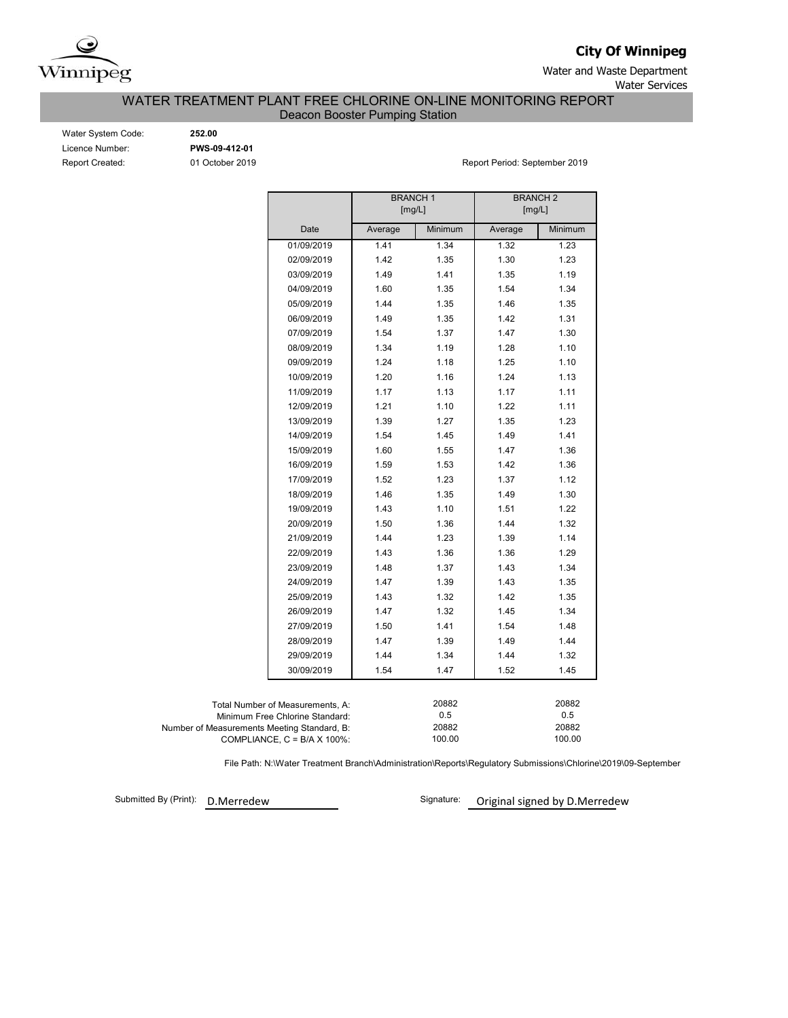

**City Of Winnipeg**

Water and Waste Department Water Services

WATER TREATMENT PLANT FREE CHLORINE ON-LINE MONITORING REPORT

Deacon Booster Pumping Station

| Water System Code      |
|------------------------|
| Licence Number:        |
| <b>Report Created:</b> |

Water System Code: **252.00** Licence Number: **PWS-09-412-01**

01 October 2019 **Report Period: September 2019** 

|                                             |                                      | <b>BRANCH1</b><br>[mg/L] |                 | <b>BRANCH 2</b><br>[mg/L] |         |  |  |
|---------------------------------------------|--------------------------------------|--------------------------|-----------------|---------------------------|---------|--|--|
|                                             |                                      |                          |                 |                           |         |  |  |
|                                             | Date                                 | Average                  | Minimum         | Average                   | Minimum |  |  |
|                                             | 01/09/2019                           | 1.41                     | 1.34            | 1.32                      | 1.23    |  |  |
|                                             | 02/09/2019                           | 1.42                     | 1.35            | 1.30                      | 1.23    |  |  |
|                                             | 03/09/2019                           | 1.49                     | 1.41            | 1.35                      | 1.19    |  |  |
|                                             | 04/09/2019                           | 1.60                     | 1.35            | 1.54                      | 1.34    |  |  |
|                                             | 05/09/2019                           | 1.44                     | 1.35            | 1.46                      | 1.35    |  |  |
|                                             | 06/09/2019                           | 1.49                     | 1.35            | 1.42                      | 1.31    |  |  |
|                                             | 07/09/2019                           | 1.54                     | 1.37            | 1.47                      | 1.30    |  |  |
|                                             | 08/09/2019                           | 1.34                     | 1.19            | 1.28                      | 1.10    |  |  |
|                                             | 09/09/2019                           | 1.24                     | 1.18            | 1.25                      | 1.10    |  |  |
|                                             | 10/09/2019                           | 1.20                     | 1.16            | 1.24                      | 1.13    |  |  |
|                                             | 11/09/2019                           | 1.17                     | 1.13            | 1.17                      | 1.11    |  |  |
|                                             | 12/09/2019                           | 1.21                     | 1.10            | 1.22                      | 1.11    |  |  |
|                                             | 13/09/2019                           | 1.39                     | 1.27            | 1.35                      | 1.23    |  |  |
|                                             | 14/09/2019                           | 1.54                     | 1.45            | 1.49                      | 1.41    |  |  |
|                                             | 15/09/2019                           | 1.60                     | 1.55            | 1.47                      | 1.36    |  |  |
|                                             | 16/09/2019                           | 1.59                     | 1.53            | 1.42                      | 1.36    |  |  |
|                                             | 17/09/2019                           | 1.52                     | 1.23            | 1.37                      | 1.12    |  |  |
|                                             | 18/09/2019                           | 1.46                     | 1.35            | 1.49                      | 1.30    |  |  |
|                                             | 19/09/2019                           | 1.43                     | 1.10            | 1.51                      | 1.22    |  |  |
|                                             | 20/09/2019                           | 1.50                     | 1.36            | 1.44                      | 1.32    |  |  |
|                                             | 21/09/2019                           | 1.44                     | 1.23            | 1.39                      | 1.14    |  |  |
|                                             | 22/09/2019                           | 1.43                     | 1.36            | 1.36                      | 1.29    |  |  |
|                                             | 23/09/2019                           | 1.48                     | 1.37            | 1.43                      | 1.34    |  |  |
|                                             | 24/09/2019                           | 1.47                     | 1.39            | 1.43                      | 1.35    |  |  |
|                                             | 25/09/2019                           | 1.43                     | 1.32            | 1.42                      | 1.35    |  |  |
|                                             | 26/09/2019                           | 1.47                     | 1.32            | 1.45                      | 1.34    |  |  |
|                                             | 27/09/2019                           | 1.50                     | 1.41            | 1.54                      | 1.48    |  |  |
|                                             | 28/09/2019                           | 1.47                     | 1.39            | 1.49                      | 1.44    |  |  |
|                                             | 29/09/2019                           | 1.44                     | 1.34            | 1.44                      | 1.32    |  |  |
|                                             | 30/09/2019                           | 1.54                     | 1.47            | 1.52                      | 1.45    |  |  |
|                                             |                                      |                          |                 |                           |         |  |  |
|                                             | Total Number of Measurements, A:     |                          | 20882           |                           | 20882   |  |  |
|                                             | Minimum Free Chlorine Standard:      |                          | 0.5             |                           | 0.5     |  |  |
| Number of Measurements Meeting Standard, B: |                                      |                          | 20882<br>100.00 |                           | 20882   |  |  |
|                                             | COMPLIANCE, $C = B/A \times 100\%$ : |                          | 100.00          |                           |         |  |  |

File Path: N:\Water Treatment Branch\Administration\Reports\Regulatory Submissions\Chlorine\2019\09-September

Submitted By (Print): D.Merredew

Signature: Original signed by D.Merredew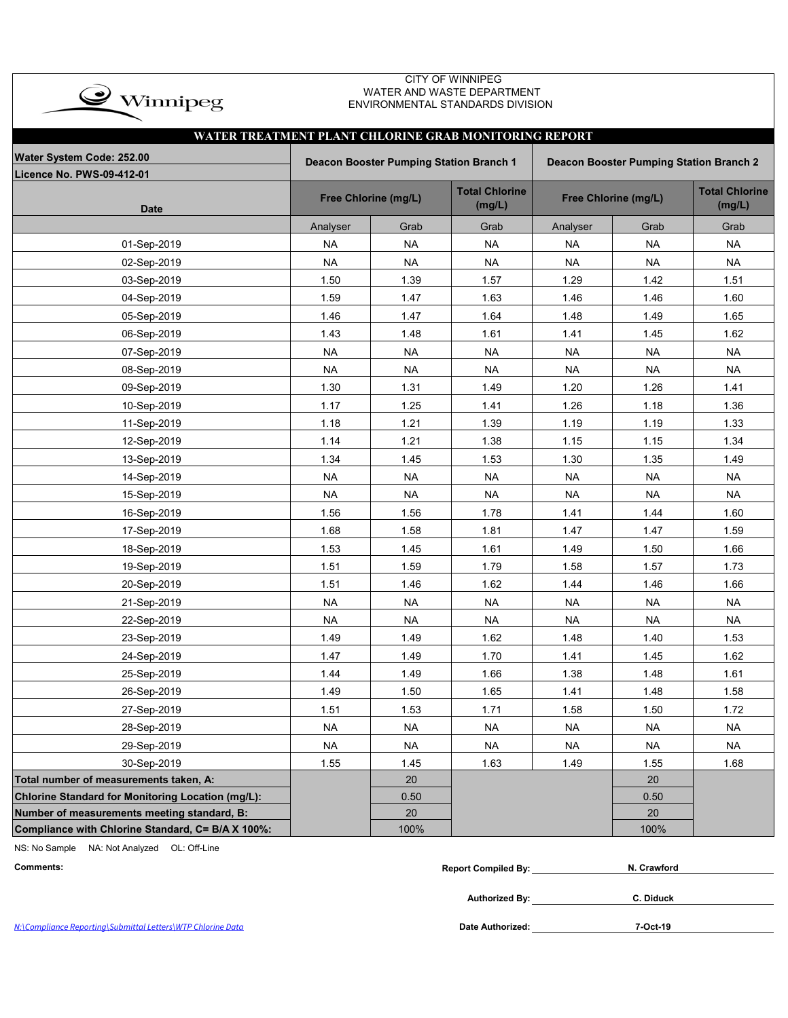| <b>CITY OF WINNIPEG</b><br>WATER AND WASTE DEPARTMENT<br>$\rightarrow$ Winnipeg<br>ENVIRONMENTAL STANDARDS DIVISION<br>WATER TREATMENT PLANT CHLORINE GRAB MONITORING REPORT |                                                                                           |                      |                                 |           |                      |                                 |  |  |  |  |  |  |  |
|------------------------------------------------------------------------------------------------------------------------------------------------------------------------------|-------------------------------------------------------------------------------------------|----------------------|---------------------------------|-----------|----------------------|---------------------------------|--|--|--|--|--|--|--|
|                                                                                                                                                                              |                                                                                           |                      |                                 |           |                      |                                 |  |  |  |  |  |  |  |
| Water System Code: 252.00                                                                                                                                                    | Deacon Booster Pumping Station Branch 1<br><b>Deacon Booster Pumping Station Branch 2</b> |                      |                                 |           |                      |                                 |  |  |  |  |  |  |  |
| <b>Licence No. PWS-09-412-01</b>                                                                                                                                             |                                                                                           |                      |                                 |           |                      |                                 |  |  |  |  |  |  |  |
| <b>Date</b>                                                                                                                                                                  |                                                                                           | Free Chlorine (mg/L) | <b>Total Chlorine</b><br>(mg/L) |           | Free Chlorine (mg/L) | <b>Total Chlorine</b><br>(mg/L) |  |  |  |  |  |  |  |
|                                                                                                                                                                              | Analyser                                                                                  | Grab                 | Grab                            | Analyser  | Grab                 | Grab                            |  |  |  |  |  |  |  |
| 01-Sep-2019                                                                                                                                                                  | <b>NA</b>                                                                                 | <b>NA</b>            | <b>NA</b>                       | <b>NA</b> | <b>NA</b>            | <b>NA</b>                       |  |  |  |  |  |  |  |
| 02-Sep-2019                                                                                                                                                                  | <b>NA</b>                                                                                 | <b>NA</b>            | <b>NA</b>                       | <b>NA</b> | <b>NA</b>            | <b>NA</b>                       |  |  |  |  |  |  |  |
| 03-Sep-2019                                                                                                                                                                  | 1.50                                                                                      | 1.39                 | 1.57                            | 1.29      | 1.42                 | 1.51                            |  |  |  |  |  |  |  |
| 04-Sep-2019                                                                                                                                                                  | 1.59                                                                                      | 1.47                 | 1.63                            | 1.46      | 1.46                 | 1.60                            |  |  |  |  |  |  |  |
| 05-Sep-2019                                                                                                                                                                  | 1.46                                                                                      | 1.47                 | 1.64                            | 1.48      | 1.49                 | 1.65                            |  |  |  |  |  |  |  |
| 06-Sep-2019                                                                                                                                                                  | 1.43                                                                                      | 1.48                 | 1.61                            | 1.41      | 1.45                 | 1.62                            |  |  |  |  |  |  |  |
| 07-Sep-2019                                                                                                                                                                  | <b>NA</b>                                                                                 | <b>NA</b>            | <b>NA</b>                       | <b>NA</b> | <b>NA</b>            | <b>NA</b>                       |  |  |  |  |  |  |  |
| 08-Sep-2019                                                                                                                                                                  | <b>NA</b>                                                                                 | <b>NA</b>            | <b>NA</b>                       | <b>NA</b> | <b>NA</b>            | <b>NA</b>                       |  |  |  |  |  |  |  |
| 09-Sep-2019                                                                                                                                                                  | 1.30                                                                                      | 1.31                 | 1.49                            | 1.20      | 1.26                 | 1.41                            |  |  |  |  |  |  |  |
| 10-Sep-2019                                                                                                                                                                  | 1.17                                                                                      | 1.25                 | 1.41                            | 1.26      | 1.18                 | 1.36                            |  |  |  |  |  |  |  |
| 11-Sep-2019                                                                                                                                                                  | 1.18                                                                                      | 1.21                 | 1.39                            | 1.19      | 1.19                 | 1.33                            |  |  |  |  |  |  |  |
| 12-Sep-2019                                                                                                                                                                  | 1.14                                                                                      | 1.21                 | 1.38                            | 1.15      | 1.15                 | 1.34                            |  |  |  |  |  |  |  |
| 13-Sep-2019                                                                                                                                                                  | 1.34                                                                                      | 1.45                 | 1.53                            | 1.30      | 1.35                 | 1.49                            |  |  |  |  |  |  |  |
| 14-Sep-2019                                                                                                                                                                  | <b>NA</b>                                                                                 | <b>NA</b>            | <b>NA</b>                       | <b>NA</b> | <b>NA</b>            | <b>NA</b>                       |  |  |  |  |  |  |  |
| 15-Sep-2019                                                                                                                                                                  | <b>NA</b>                                                                                 | <b>NA</b>            | <b>NA</b>                       | <b>NA</b> | <b>NA</b>            | <b>NA</b>                       |  |  |  |  |  |  |  |
| 16-Sep-2019                                                                                                                                                                  | 1.56                                                                                      | 1.56                 | 1.78                            | 1.41      | 1.44                 | 1.60                            |  |  |  |  |  |  |  |
| 17-Sep-2019                                                                                                                                                                  | 1.68                                                                                      | 1.58                 | 1.81                            | 1.47      | 1.47                 | 1.59                            |  |  |  |  |  |  |  |
| 18-Sep-2019                                                                                                                                                                  | 1.53                                                                                      | 1.45                 | 1.61                            | 1.49      | 1.50                 | 1.66                            |  |  |  |  |  |  |  |
| 19-Sep-2019                                                                                                                                                                  | 1.51                                                                                      | 1.59                 | 1.79                            | 1.58      | 1.57                 | 1.73                            |  |  |  |  |  |  |  |
| 20-Sep-2019                                                                                                                                                                  | 1.51                                                                                      | 1.46                 | 1.62                            | 1.44      | 1.46                 | 1.66                            |  |  |  |  |  |  |  |
| 21-Sep-2019                                                                                                                                                                  | <b>NA</b>                                                                                 | <b>NA</b>            | <b>NA</b>                       | <b>NA</b> | <b>NA</b>            | <b>NA</b>                       |  |  |  |  |  |  |  |
| 22-Sep-2019                                                                                                                                                                  | NA                                                                                        | NA                   | NA                              | <b>NA</b> | <b>NA</b>            | <b>NA</b>                       |  |  |  |  |  |  |  |
| 23-Sep-2019                                                                                                                                                                  | 1.49                                                                                      | 1.49                 | 1.62                            | 1.48      | 1.40                 | 1.53                            |  |  |  |  |  |  |  |
| 24-Sep-2019                                                                                                                                                                  | 1.47                                                                                      | 1.49                 | 1.70                            | 1.41      | 1.45                 | 1.62                            |  |  |  |  |  |  |  |
| 25-Sep-2019                                                                                                                                                                  | 1.44                                                                                      | 1.49                 | 1.66                            | 1.38      | 1.48                 | 1.61                            |  |  |  |  |  |  |  |
| 26-Sep-2019                                                                                                                                                                  | 1.49                                                                                      | 1.50                 | 1.65                            | 1.41      | 1.48                 | 1.58                            |  |  |  |  |  |  |  |
| 27-Sep-2019                                                                                                                                                                  | 1.51                                                                                      | 1.53                 | 1.71                            | 1.58      | 1.50                 | 1.72                            |  |  |  |  |  |  |  |
| 28-Sep-2019                                                                                                                                                                  | <b>NA</b>                                                                                 | <b>NA</b>            | NA                              | <b>NA</b> | <b>NA</b>            | <b>NA</b>                       |  |  |  |  |  |  |  |
| 29-Sep-2019                                                                                                                                                                  | <b>NA</b>                                                                                 | <b>NA</b>            | <b>NA</b>                       | <b>NA</b> | <b>NA</b>            | <b>NA</b>                       |  |  |  |  |  |  |  |
| 30-Sep-2019                                                                                                                                                                  | 1.55                                                                                      | 1.45                 | 1.63                            | 1.49      | 1.55                 | 1.68                            |  |  |  |  |  |  |  |
| Total number of measurements taken, A:                                                                                                                                       |                                                                                           | 20                   |                                 |           | 20                   |                                 |  |  |  |  |  |  |  |
| Chlorine Standard for Monitoring Location (mg/L):                                                                                                                            |                                                                                           | 0.50                 |                                 |           | 0.50                 |                                 |  |  |  |  |  |  |  |
| Number of measurements meeting standard, B:                                                                                                                                  |                                                                                           | 20                   |                                 |           | 20                   |                                 |  |  |  |  |  |  |  |
| Compliance with Chlorine Standard, C= B/A X 100%:                                                                                                                            |                                                                                           | 100%                 |                                 |           | 100%                 |                                 |  |  |  |  |  |  |  |

NS: No Sample NA: Not Analyzed OL: Off-Line

 $Comments:$ 

| N. Crawford |
|-------------|
|             |
|             |
|             |

N:\Compliance Reporting\Submittal Letters\WTP Chlorine Data

Date Authorized: 7-Oct-19